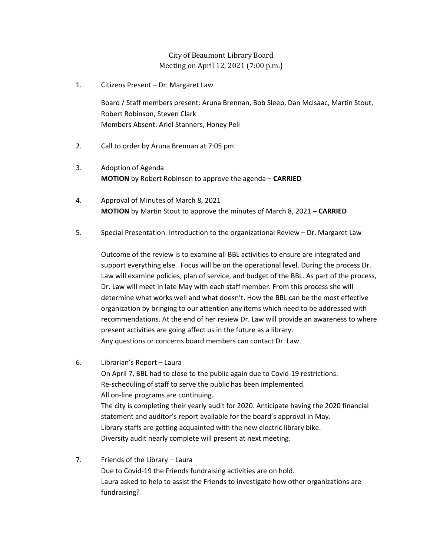## City of Beaumont Library Board Meeting on April 12, 2021 (7:00 p.m.)

1. Citizens Present – Dr. Margaret Law

Board / Staff members present: Aruna Brennan, Bob Sleep, Dan McIsaac, Martin Stout, Robert Robinson, Steven Clark Members Absent: Ariel Stanners, Honey Pell

- 2. Call to order by Aruna Brennan at 7:05 pm
- 3. Adoption of Agenda **MOTION** by Robert Robinson to approve the agenda – **CARRIED**
- 4. Approval of Minutes of March 8, 2021 **MOTION** by Martin Stout to approve the minutes of March 8, 2021 – **CARRIED**
- 5. Special Presentation: Introduction to the organizational Review Dr. Margaret Law

Outcome of the review is to examine all BBL activities to ensure are integrated and support everything else. Focus will be on the operational level. During the process Dr. Law will examine policies, plan of service, and budget of the BBL. As part of the process, Dr. Law will meet in late May with each staff member. From this process she will determine what works well and what doesn't. How the BBL can be the most effective organization by bringing to our attention any items which need to be addressed with recommendations. At the end of her review Dr. Law will provide an awareness to where present activities are going affect us in the future as a library. Any questions or concerns board members can contact Dr. Law.

- 6. Librarian's Report Laura On April 7, BBL had to close to the public again due to Covid-19 restrictions. Re-scheduling of staff to serve the public has been implemented. All on-line programs are continuing. The city is completing their yearly audit for 2020. Anticipate having the 2020 financial statement and auditor's report available for the board's approval in May. Library staffs are getting acquainted with the new electric library bike. Diversity audit nearly complete will present at next meeting.
- 7. Friends of the Library Laura Due to Covid-19 the Friends fundraising activities are on hold. Laura asked to help to assist the Friends to investigate how other organizations are fundraising?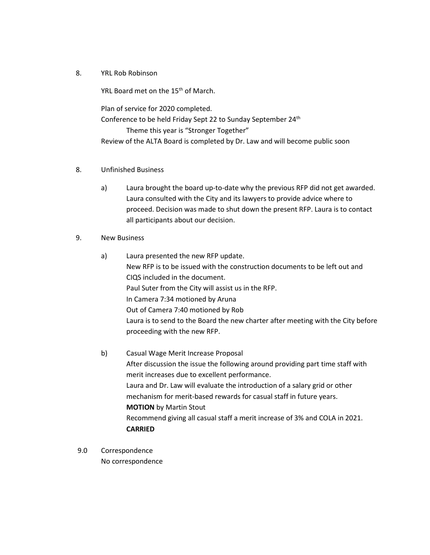8. YRL Rob Robinson

YRL Board met on the 15<sup>th</sup> of March.

Plan of service for 2020 completed. Conference to be held Friday Sept 22 to Sunday September 24<sup>th</sup> Theme this year is "Stronger Together" Review of the ALTA Board is completed by Dr. Law and will become public soon

- 8. Unfinished Business
	- a) Laura brought the board up-to-date why the previous RFP did not get awarded. Laura consulted with the City and its lawyers to provide advice where to proceed. Decision was made to shut down the present RFP. Laura is to contact all participants about our decision.
- 9. New Business
	- a) Laura presented the new RFP update. New RFP is to be issued with the construction documents to be left out and CIQS included in the document. Paul Suter from the City will assist us in the RFP. In Camera 7:34 motioned by Aruna Out of Camera 7:40 motioned by Rob Laura is to send to the Board the new charter after meeting with the City before proceeding with the new RFP.
	- b) Casual Wage Merit Increase Proposal After discussion the issue the following around providing part time staff with merit increases due to excellent performance. Laura and Dr. Law will evaluate the introduction of a salary grid or other mechanism for merit-based rewards for casual staff in future years. **MOTION** by Martin Stout Recommend giving all casual staff a merit increase of 3% and COLA in 2021. **CARRIED**
- 9.0 Correspondence No correspondence